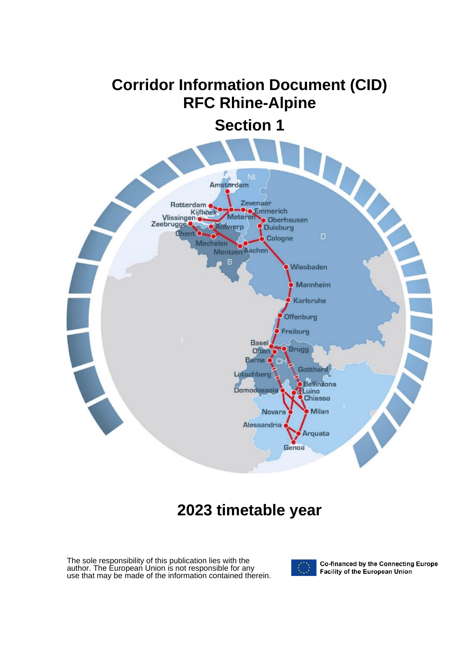# **Corridor Information Document (CID) RFC Rhine-Alpine**

**Section 1**



# **2023 timetable year**

The sole responsibility of this publication lies with the author. The European Union is not responsible for any use that may be made of the information contained therein.



Co-financed by the Connecting Europe Facility of the European Union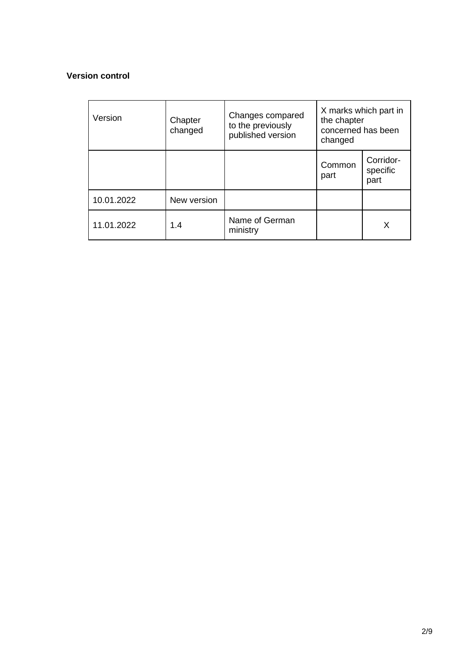# **Version control**

| Version    | Chapter<br>changed | Changes compared<br>to the previously<br>published version | X marks which part in<br>the chapter<br>concerned has been<br>changed |                               |
|------------|--------------------|------------------------------------------------------------|-----------------------------------------------------------------------|-------------------------------|
|            |                    |                                                            | Common<br>part                                                        | Corridor-<br>specific<br>part |
| 10.01.2022 | New version        |                                                            |                                                                       |                               |
| 11.01.2022 | 1.4                | Name of German<br>ministry                                 |                                                                       | X                             |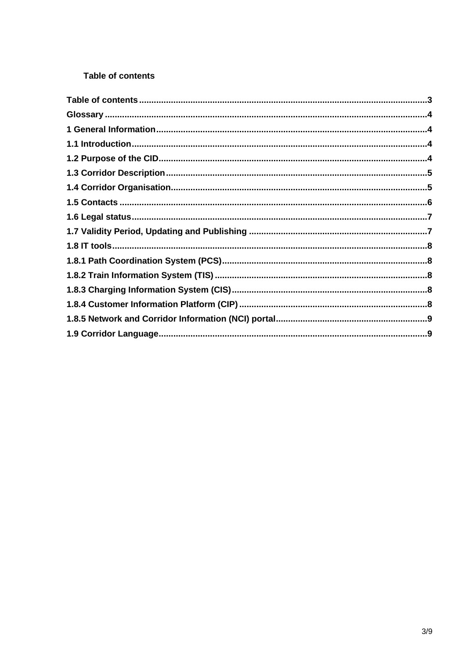# <span id="page-2-0"></span>**Table of contents**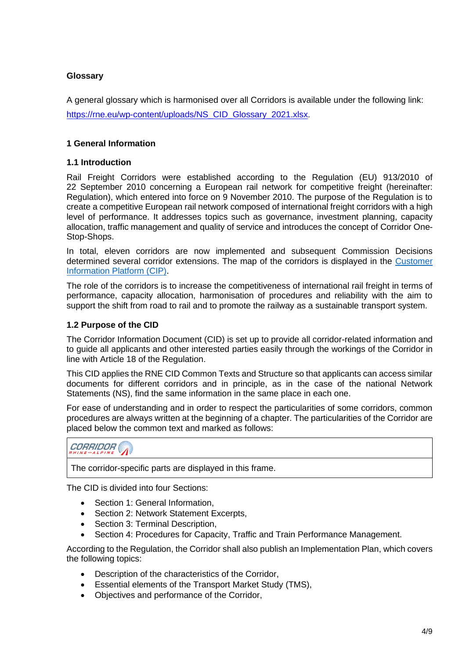# <span id="page-3-0"></span>**Glossary**

A general glossary which is harmonised over all Corridors is available under the following link: [https://rne.eu/wp-content/uploads/NS\\_CID\\_Glossary\\_2021.xlsx.](https://rne.eu/wp-content/uploads/NS_CID_Glossary_2021.xlsx)

## <span id="page-3-1"></span>**1 General Information**

#### <span id="page-3-2"></span>**1.1 Introduction**

Rail Freight Corridors were established according to the Regulation (EU) 913/2010 of 22 September 2010 concerning a European rail network for competitive freight (hereinafter: Regulation), which entered into force on 9 November 2010. The purpose of the Regulation is to create a competitive European rail network composed of international freight corridors with a high level of performance. It addresses topics such as governance, investment planning, capacity allocation, traffic management and quality of service and introduces the concept of Corridor One-Stop-Shops.

In total, eleven corridors are now implemented and subsequent Commission Decisions determined several corridor extensions. The map of the corridors is displayed in the [Customer](https://cip.rne.eu/apex/f?p=212:65::::::)  [Information Platform \(CIP\).](https://cip.rne.eu/apex/f?p=212:65::::::)

The role of the corridors is to increase the competitiveness of international rail freight in terms of performance, capacity allocation, harmonisation of procedures and reliability with the aim to support the shift from road to rail and to promote the railway as a sustainable transport system.

## <span id="page-3-3"></span>**1.2 Purpose of the CID**

The Corridor Information Document (CID) is set up to provide all corridor-related information and to guide all applicants and other interested parties easily through the workings of the Corridor in line with Article 18 of the Regulation.

This CID applies the RNE CID Common Texts and Structure so that applicants can access similar documents for different corridors and in principle, as in the case of the national Network Statements (NS), find the same information in the same place in each one.

For ease of understanding and in order to respect the particularities of some corridors, common procedures are always written at the beginning of a chapter. The particularities of the Corridor are placed below the common text and marked as follows:

CORRIDOR

The corridor-specific parts are displayed in this frame.

The CID is divided into four Sections:

- Section 1: General Information.
- Section 2: Network Statement Excerpts,
- Section 3: Terminal Description,
- Section 4: Procedures for Capacity, Traffic and Train Performance Management.

According to the Regulation, the Corridor shall also publish an Implementation Plan, which covers the following topics:

- Description of the characteristics of the Corridor,
- Essential elements of the Transport Market Study (TMS),
- Objectives and performance of the Corridor,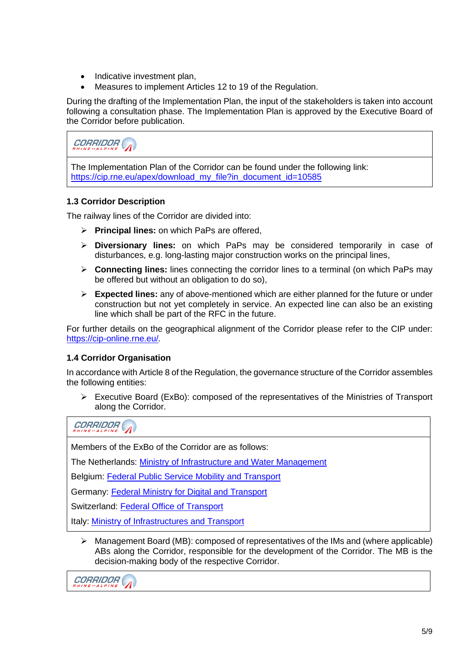- Indicative investment plan,
- Measures to implement Articles 12 to 19 of the Regulation.

During the drafting of the Implementation Plan, the input of the stakeholders is taken into account following a consultation phase. The Implementation Plan is approved by the Executive Board of the Corridor before publication.

**CORRIDOR** The Implementation Plan of the Corridor can be found under the following link: [https://cip.rne.eu/apex/download\\_my\\_file?in\\_document\\_id=10585](https://cip.rne.eu/apex/download_my_file?in_document_id=10585)

# <span id="page-4-0"></span>**1.3 Corridor Description**

The railway lines of the Corridor are divided into:

- ➢ **Principal lines:** on which PaPs are offered,
- ➢ **Diversionary lines:** on which PaPs may be considered temporarily in case of disturbances, e.g. long-lasting major construction works on the principal lines,
- ➢ **Connecting lines:** lines connecting the corridor lines to a terminal (on which PaPs may be offered but without an obligation to do so),
- ➢ **Expected lines:** any of above-mentioned which are either planned for the future or under construction but not yet completely in service. An expected line can also be an existing line which shall be part of the RFC in the future.

For further details on the geographical alignment of the Corridor please refer to the CIP under: <https://cip-online.rne.eu/>*.*

# <span id="page-4-1"></span>**1.4 Corridor Organisation**

In accordance with Article 8 of the Regulation, the governance structure of the Corridor assembles the following entities:

➢ Executive Board (ExBo): composed of the representatives of the Ministries of Transport along the Corridor.

CORRIDOR

Members of the ExBo of the Corridor are as follows:

The Netherlands: [Ministry of Infrastructure and Water Management](https://www.government.nl/ministries/ministry-of-infrastructure-and-water-management)

Belgium: [Federal Public Service Mobility and](https://mobilit.belgium.be/en) Transport

Germany: [Federal Ministry for Digital and Transport](http://www.bmvi.de/EN/Home/home.html)

Switzerland: [Federal Office of Transport](https://www.bav.admin.ch/bav/en/home.html)

Italy: [Ministry of Infrastructures and Transport](http://www.mit.gov.it/en)

➢ Management Board (MB): composed of representatives of the IMs and (where applicable) ABs along the Corridor, responsible for the development of the Corridor. The MB is the decision-making body of the respective Corridor.

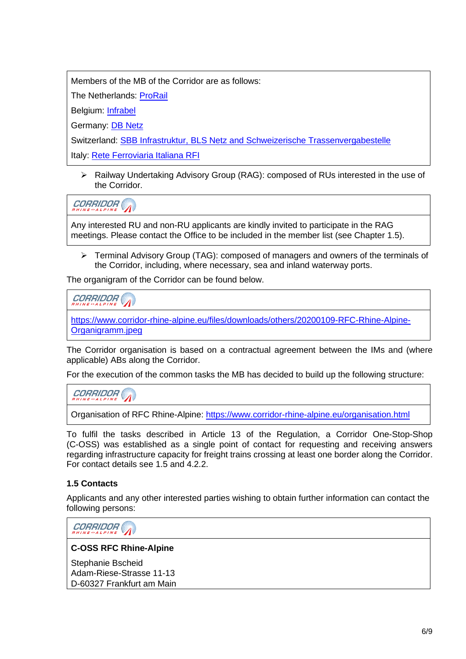Members of the MB of the Corridor are as follows:

The Netherlands: [ProRail](https://www.prorail.nl/)

Belgium: [Infrabel](https://www.infrabel.be/en)

Germany: [DB Netz](https://fahrweg.dbnetze.com/fahrweg-en)

Switzerland: [SBB Infrastruktur,](https://company.sbb.ch/en/the-company/organisation/infrastructure.html) [BLS Netz](https://www.bls.ch/en/unternehmen) and [Schweizerische Trassenvergabestelle](https://www.tvs.ch/)

Italy: [Rete Ferroviaria Italiana RFI](https://www.rfi.it/)

➢ Railway Undertaking Advisory Group (RAG): composed of RUs interested in the use of the Corridor.

**CORRIDOR** 

Any interested RU and non-RU applicants are kindly invited to participate in the RAG meetings. Please contact the Office to be included in the member list (see Chapter 1.5).

➢ Terminal Advisory Group (TAG): composed of managers and owners of the terminals of the Corridor, including, where necessary, sea and inland waterway ports.

The organigram of the Corridor can be found below.

**CORRIDOR RHINEOALPINE** 

[https://www.corridor-rhine-alpine.eu/files/downloads/others/20200109-RFC-Rhine-Alpine-](https://www.corridor-rhine-alpine.eu/files/downloads/others/20200109-RFC-Rhine-Alpine-Organigramm.jpeg)[Organigramm.jpeg](https://www.corridor-rhine-alpine.eu/files/downloads/others/20200109-RFC-Rhine-Alpine-Organigramm.jpeg)

The Corridor organisation is based on a contractual agreement between the IMs and (where applicable) ABs along the Corridor.

For the execution of the common tasks the MB has decided to build up the following structure:

**CORRIDOR** 

Organisation of RFC Rhine-Alpine:<https://www.corridor-rhine-alpine.eu/organisation.html>

To fulfil the tasks described in Article 13 of the Regulation, a Corridor One-Stop-Shop (C-OSS) was established as a single point of contact for requesting and receiving answers regarding infrastructure capacity for freight trains crossing at least one border along the Corridor. For contact details see 1.5 and 4.2.2.

# <span id="page-5-0"></span>**1.5 Contacts**

Applicants and any other interested parties wishing to obtain further information can contact the following persons:



# **C-OSS RFC Rhine-Alpine**

Stephanie Bscheid Adam-Riese-Strasse 11-13 D-60327 Frankfurt am Main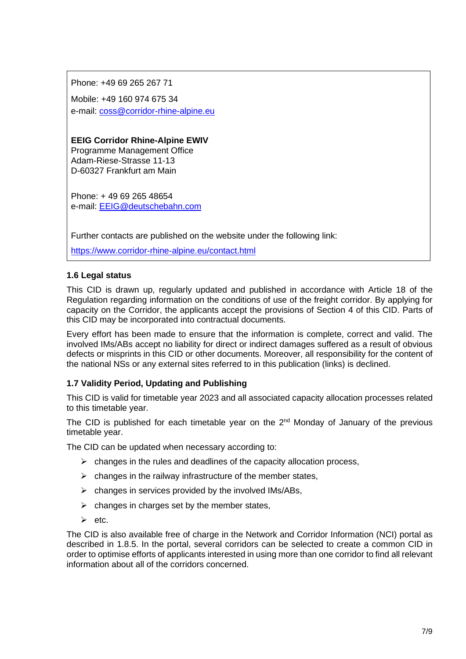Phone: +49 69 265 267 71

Mobile: +49 160 974 675 34 e-mail: [coss@corridor-rhine-alpine.eu](mailto:coss@corridor-rhine-alpine.eu)

**EEIG Corridor Rhine-Alpine EWIV** Programme Management Office Adam-Riese-Strasse 11-13 D-60327 Frankfurt am Main

Phone: + 49 69 265 48654 e-mail: [EEIG@deutschebahn.com](mailto:eeig@deutschebahn.com)

Further contacts are published on the website under the following link:

<https://www.corridor-rhine-alpine.eu/contact.html>

#### <span id="page-6-0"></span>**1.6 Legal status**

This CID is drawn up, regularly updated and published in accordance with Article 18 of the Regulation regarding information on the conditions of use of the freight corridor. By applying for capacity on the Corridor, the applicants accept the provisions of Section 4 of this CID. Parts of this CID may be incorporated into contractual documents.

Every effort has been made to ensure that the information is complete, correct and valid. The involved IMs/ABs accept no liability for direct or indirect damages suffered as a result of obvious defects or misprints in this CID or other documents. Moreover, all responsibility for the content of the national NSs or any external sites referred to in this publication (links) is declined.

#### <span id="page-6-1"></span>**1.7 Validity Period, Updating and Publishing**

This CID is valid for timetable year 2023 and all associated capacity allocation processes related to this timetable year.

The CID is published for each timetable year on the  $2<sup>nd</sup>$  Monday of January of the previous timetable year.

The CID can be updated when necessary according to:

- $\triangleright$  changes in the rules and deadlines of the capacity allocation process,
- $\triangleright$  changes in the railway infrastructure of the member states,
- $\triangleright$  changes in services provided by the involved IMs/ABs,
- $\triangleright$  changes in charges set by the member states,
- ➢ etc.

The CID is also available free of charge in the Network and Corridor Information (NCI) portal as described in 1.8.5. In the portal, several corridors can be selected to create a common CID in order to optimise efforts of applicants interested in using more than one corridor to find all relevant information about all of the corridors concerned.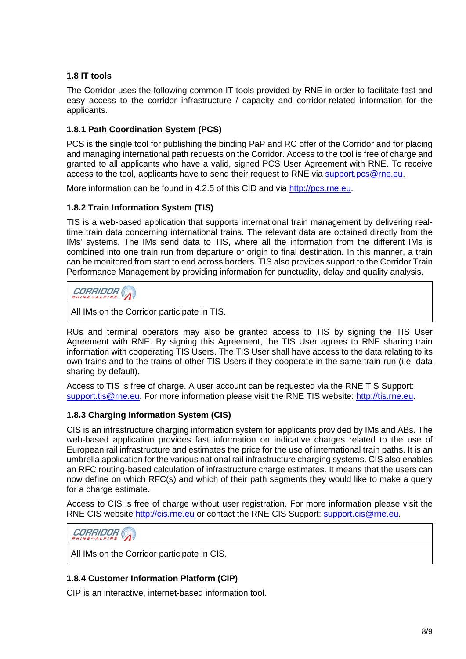# <span id="page-7-0"></span>**1.8 IT tools**

The Corridor uses the following common IT tools provided by RNE in order to facilitate fast and easy access to the corridor infrastructure / capacity and corridor-related information for the applicants.

# <span id="page-7-1"></span>**1.8.1 Path Coordination System (PCS)**

PCS is the single tool for publishing the binding PaP and RC offer of the Corridor and for placing and managing international path requests on the Corridor. Access to the tool is free of charge and granted to all applicants who have a valid, signed PCS User Agreement with RNE. To receive access to the tool, applicants have to send their request to RNE via [support.pcs@rne.eu.](mailto:support.pcs@rne.eu)

More information can be found in 4.2.5 of this CID and via [http://pcs.rne.eu.](http://pcs.rne.eu/)

#### <span id="page-7-2"></span>**1.8.2 Train Information System (TIS)**

TIS is a web-based application that supports international train management by delivering realtime train data concerning international trains. The relevant data are obtained directly from the IMs' systems. The IMs send data to TIS, where all the information from the different IMs is combined into one train run from departure or origin to final destination. In this manner, a train can be monitored from start to end across borders. TIS also provides support to the Corridor Train Performance Management by providing information for punctuality, delay and quality analysis.

# CORRIDOR

All IMs on the Corridor participate in TIS.

RUs and terminal operators may also be granted access to TIS by signing the TIS User Agreement with RNE. By signing this Agreement, the TIS User agrees to RNE sharing train information with cooperating TIS Users. The TIS User shall have access to the data relating to its own trains and to the trains of other TIS Users if they cooperate in the same train run (i.e. data sharing by default).

Access to TIS is free of charge. A user account can be requested via the RNE TIS Support: [support.tis@rne.eu.](mailto:support.tis@rne.eu) For more information please visit the RNE TIS website: [http://tis.rne.eu.](http://tis.rne.eu/)

#### <span id="page-7-3"></span>**1.8.3 Charging Information System (CIS)**

CIS is an infrastructure charging information system for applicants provided by IMs and ABs. The web-based application provides fast information on indicative charges related to the use of European rail infrastructure and estimates the price for the use of international train paths. It is an umbrella application for the various national rail infrastructure charging systems. CIS also enables an RFC routing-based calculation of infrastructure charge estimates. It means that the users can now define on which RFC(s) and which of their path segments they would like to make a query for a charge estimate.

Access to CIS is free of charge without user registration. For more information please visit the RNE CIS website [http://cis.rne.eu](http://cis.rne.eu/) or contact the RNE CIS Support: [support.cis@rne.eu.](mailto:support.cis@rne.eu)

# **CORRIDOR**

All IMs on the Corridor participate in CIS.

#### <span id="page-7-4"></span>**1.8.4 Customer Information Platform (CIP)**

CIP is an interactive, internet-based information tool.